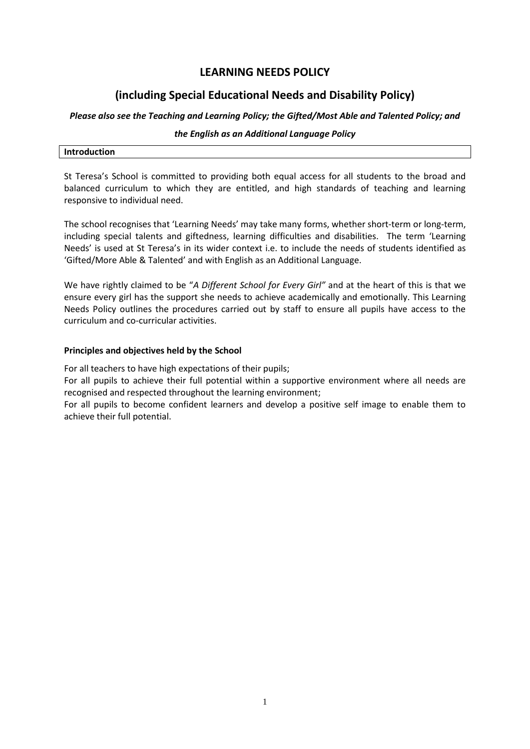# **LEARNING NEEDS POLICY**

# **(including Special Educational Needs and Disability Policy)**

## *Please also see the Teaching and Learning Policy; the Gifted/Most Able and Talented Policy; and*

## *the English as an Additional Language Policy*

| <b>Introduction</b> |  |
|---------------------|--|
|                     |  |

St Teresa's School is committed to providing both equal access for all students to the broad and balanced curriculum to which they are entitled, and high standards of teaching and learning responsive to individual need.

The school recognises that 'Learning Needs' may take many forms, whether short-term or long-term, including special talents and giftedness, learning difficulties and disabilities. The term 'Learning Needs' is used at St Teresa's in its wider context i.e. to include the needs of students identified as 'Gifted/More Able & Talented' and with English as an Additional Language.

We have rightly claimed to be "*A Different School for Every Girl"* and at the heart of this is that we ensure every girl has the support she needs to achieve academically and emotionally. This Learning Needs Policy outlines the procedures carried out by staff to ensure all pupils have access to the curriculum and co-curricular activities.

## **Principles and objectives held by the School**

For all teachers to have high expectations of their pupils;

For all pupils to achieve their full potential within a supportive environment where all needs are recognised and respected throughout the learning environment;

For all pupils to become confident learners and develop a positive self image to enable them to achieve their full potential.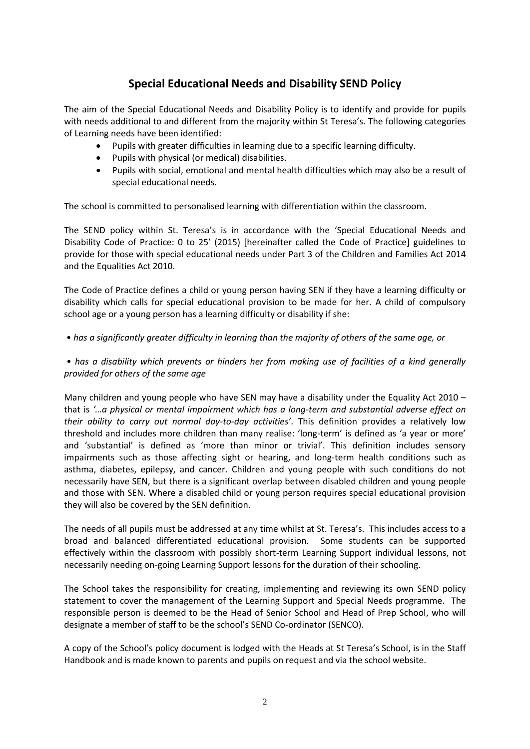# **Special Educational Needs and Disability SEND Policy**

The aim of the Special Educational Needs and Disability Policy is to identify and provide for pupils with needs additional to and different from the majority within St Teresa's. The following categories of Learning needs have been identified:

- Pupils with greater difficulties in learning due to a specific learning difficulty.
- Pupils with physical (or medical) disabilities.
- Pupils with social, emotional and mental health difficulties which may also be a result of special educational needs.

The school is committed to personalised learning with differentiation within the classroom.

The SEND policy within St. Teresa's is in accordance with the 'Special Educational Needs and Disability Code of Practice: 0 to 25' (2015) [hereinafter called the Code of Practice] guidelines to provide for those with special educational needs under Part 3 of the Children and Families Act 2014 and the Equalities Act 2010.

The Code of Practice defines a child or young person having SEN if they have a learning difficulty or disability which calls for special educational provision to be made for her. A child of compulsory school age or a young person has a learning difficulty or disability if she:

• *has a significantly greater difficulty in learning than the majority of others of the same age, or*

*• has a disability which prevents or hinders her from making use of facilities of a kind generally provided for others of the same age* 

Many children and young people who have SEN may have a disability under the Equality Act 2010 – that is *'…a physical or mental impairment which has a long-term and substantial adverse effect on their ability to carry out normal day-to-day activities'*. This definition provides a relatively low threshold and includes more children than many realise: 'long-term' is defined as 'a year or more' and 'substantial' is defined as 'more than minor or trivial'. This definition includes sensory impairments such as those affecting sight or hearing, and long-term health conditions such as asthma, diabetes, epilepsy, and cancer. Children and young people with such conditions do not necessarily have SEN, but there is a significant overlap between disabled children and young people and those with SEN. Where a disabled child or young person requires special educational provision they will also be covered by the SEN definition.

The needs of all pupils must be addressed at any time whilst at St. Teresa's. This includes access to a broad and balanced differentiated educational provision. Some students can be supported effectively within the classroom with possibly short-term Learning Support individual lessons, not necessarily needing on-going Learning Support lessons for the duration of their schooling.

The School takes the responsibility for creating, implementing and reviewing its own SEND policy statement to cover the management of the Learning Support and Special Needs programme. The responsible person is deemed to be the Head of Senior School and Head of Prep School, who will designate a member of staff to be the school's SEND Co-ordinator (SENCO).

A copy of the School's policy document is lodged with the Heads at St Teresa's School, is in the Staff Handbook and is made known to parents and pupils on request and via the school website.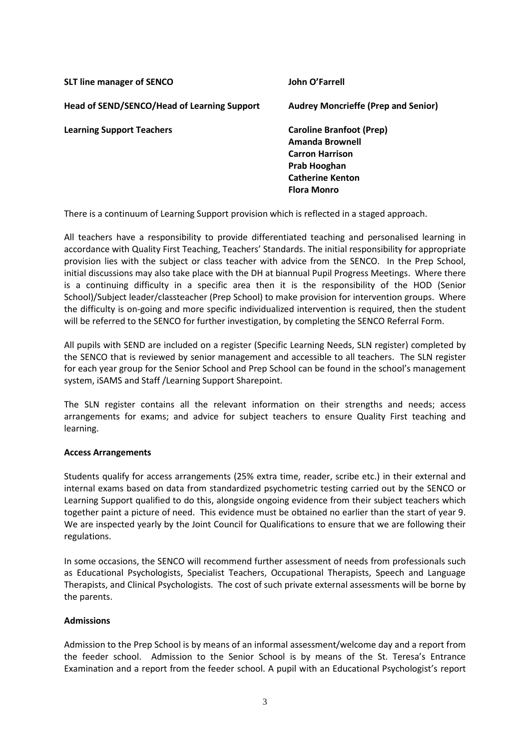| <b>SLT line manager of SENCO</b>            | John O'Farrell                                                                                                                                |
|---------------------------------------------|-----------------------------------------------------------------------------------------------------------------------------------------------|
| Head of SEND/SENCO/Head of Learning Support | <b>Audrey Moncrieffe (Prep and Senior)</b>                                                                                                    |
| <b>Learning Support Teachers</b>            | <b>Caroline Branfoot (Prep)</b><br>Amanda Brownell<br><b>Carron Harrison</b><br>Prab Hooghan<br><b>Catherine Kenton</b><br><b>Flora Monro</b> |

There is a continuum of Learning Support provision which is reflected in a staged approach.

All teachers have a responsibility to provide differentiated teaching and personalised learning in accordance with Quality First Teaching, Teachers' Standards. The initial responsibility for appropriate provision lies with the subject or class teacher with advice from the SENCO. In the Prep School, initial discussions may also take place with the DH at biannual Pupil Progress Meetings. Where there is a continuing difficulty in a specific area then it is the responsibility of the HOD (Senior School)/Subject leader/classteacher (Prep School) to make provision for intervention groups. Where the difficulty is on-going and more specific individualized intervention is required, then the student will be referred to the SENCO for further investigation, by completing the SENCO Referral Form.

All pupils with SEND are included on a register (Specific Learning Needs, SLN register) completed by the SENCO that is reviewed by senior management and accessible to all teachers. The SLN register for each year group for the Senior School and Prep School can be found in the school's management system, iSAMS and Staff /Learning Support Sharepoint.

The SLN register contains all the relevant information on their strengths and needs; access arrangements for exams; and advice for subject teachers to ensure Quality First teaching and learning.

## **Access Arrangements**

Students qualify for access arrangements (25% extra time, reader, scribe etc.) in their external and internal exams based on data from standardized psychometric testing carried out by the SENCO or Learning Support qualified to do this, alongside ongoing evidence from their subject teachers which together paint a picture of need. This evidence must be obtained no earlier than the start of year 9. We are inspected yearly by the Joint Council for Qualifications to ensure that we are following their regulations.

In some occasions, the SENCO will recommend further assessment of needs from professionals such as Educational Psychologists, Specialist Teachers, Occupational Therapists, Speech and Language Therapists, and Clinical Psychologists. The cost of such private external assessments will be borne by the parents.

## **Admissions**

Admission to the Prep School is by means of an informal assessment/welcome day and a report from the feeder school. Admission to the Senior School is by means of the St. Teresa's Entrance Examination and a report from the feeder school. A pupil with an Educational Psychologist's report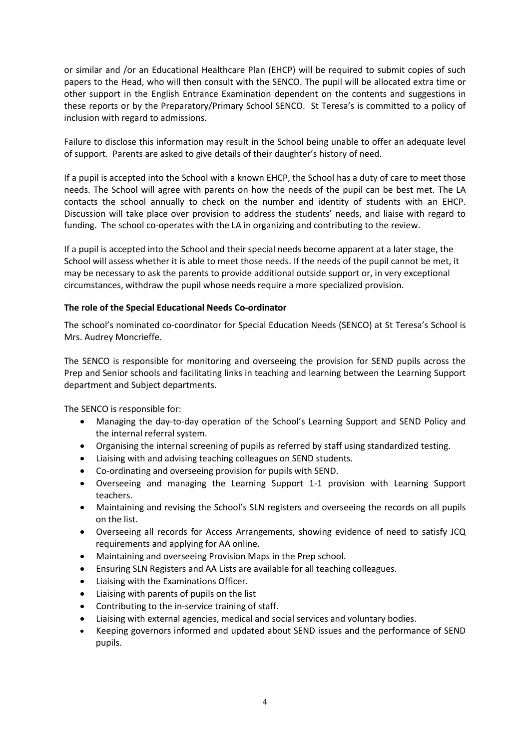or similar and /or an Educational Healthcare Plan (EHCP) will be required to submit copies of such papers to the Head, who will then consult with the SENCO. The pupil will be allocated extra time or other support in the English Entrance Examination dependent on the contents and suggestions in these reports or by the Preparatory/Primary School SENCO. St Teresa's is committed to a policy of inclusion with regard to admissions.

Failure to disclose this information may result in the School being unable to offer an adequate level of support. Parents are asked to give details of their daughter's history of need.

If a pupil is accepted into the School with a known EHCP, the School has a duty of care to meet those needs. The School will agree with parents on how the needs of the pupil can be best met. The LA contacts the school annually to check on the number and identity of students with an EHCP. Discussion will take place over provision to address the students' needs, and liaise with regard to funding. The school co-operates with the LA in organizing and contributing to the review.

If a pupil is accepted into the School and their special needs become apparent at a later stage, the School will assess whether it is able to meet those needs. If the needs of the pupil cannot be met, it may be necessary to ask the parents to provide additional outside support or, in very exceptional circumstances, withdraw the pupil whose needs require a more specialized provision.

## **The role of the Special Educational Needs Co-ordinator**

The school's nominated co-coordinator for Special Education Needs (SENCO) at St Teresa's School is Mrs. Audrey Moncrieffe.

The SENCO is responsible for monitoring and overseeing the provision for SEND pupils across the Prep and Senior schools and facilitating links in teaching and learning between the Learning Support department and Subject departments.

The SENCO is responsible for:

- Managing the day-to-day operation of the School's Learning Support and SEND Policy and the internal referral system.
- Organising the internal screening of pupils as referred by staff using standardized testing.
- Liaising with and advising teaching colleagues on SEND students.
- Co-ordinating and overseeing provision for pupils with SEND.
- Overseeing and managing the Learning Support 1-1 provision with Learning Support teachers.
- Maintaining and revising the School's SLN registers and overseeing the records on all pupils on the list.
- Overseeing all records for Access Arrangements, showing evidence of need to satisfy JCQ requirements and applying for AA online.
- Maintaining and overseeing Provision Maps in the Prep school.
- Ensuring SLN Registers and AA Lists are available for all teaching colleagues.
- Liaising with the Examinations Officer.
- Liaising with parents of pupils on the list
- Contributing to the in-service training of staff.
- Liaising with external agencies, medical and social services and voluntary bodies.
- Keeping governors informed and updated about SEND issues and the performance of SEND pupils.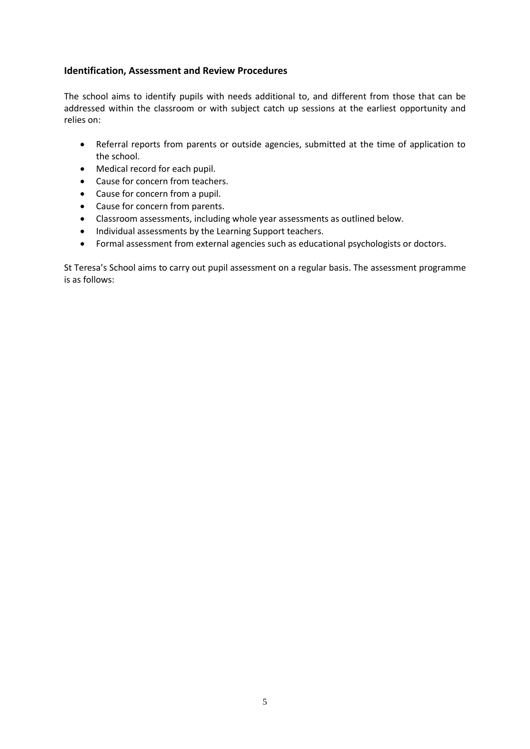## **Identification, Assessment and Review Procedures**

The school aims to identify pupils with needs additional to, and different from those that can be addressed within the classroom or with subject catch up sessions at the earliest opportunity and relies on:

- Referral reports from parents or outside agencies, submitted at the time of application to the school.
- Medical record for each pupil.
- Cause for concern from teachers.
- Cause for concern from a pupil.
- Cause for concern from parents.
- Classroom assessments, including whole year assessments as outlined below.
- Individual assessments by the Learning Support teachers.
- Formal assessment from external agencies such as educational psychologists or doctors.

St Teresa's School aims to carry out pupil assessment on a regular basis. The assessment programme is as follows: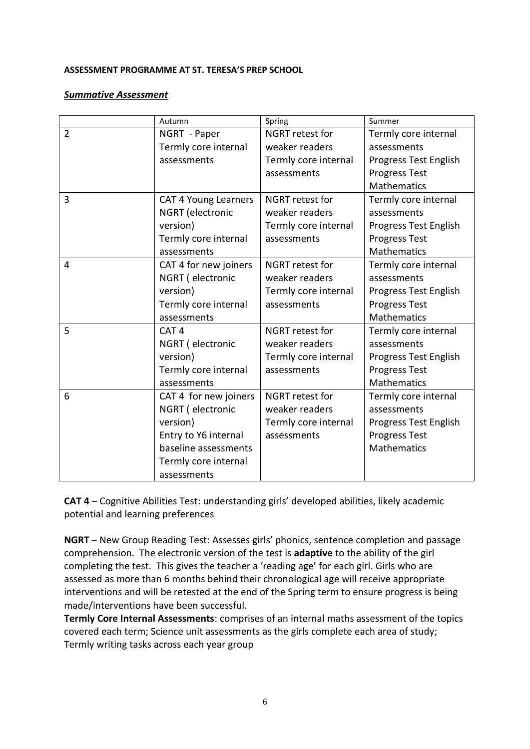## **ASSESSMENT PROGRAMME AT ST. TERESA'S PREP SCHOOL**

## *Summative Assessment*

|                | Autumn                      | Spring                 | Summer                       |
|----------------|-----------------------------|------------------------|------------------------------|
| $\overline{2}$ | NGRT - Paper                | NGRT retest for        | Termly core internal         |
|                | Termly core internal        | weaker readers         | assessments                  |
|                | assessments                 | Termly core internal   | Progress Test English        |
|                |                             | assessments            | <b>Progress Test</b>         |
|                |                             |                        | Mathematics                  |
| 3              | <b>CAT 4 Young Learners</b> | <b>NGRT</b> retest for | Termly core internal         |
|                | <b>NGRT</b> (electronic     | weaker readers         | assessments                  |
|                | version)                    | Termly core internal   | <b>Progress Test English</b> |
|                | Termly core internal        | assessments            | <b>Progress Test</b>         |
|                | assessments                 |                        | <b>Mathematics</b>           |
| 4              | CAT 4 for new joiners       | <b>NGRT</b> retest for | Termly core internal         |
|                | NGRT (electronic            | weaker readers         | assessments                  |
|                | version)                    | Termly core internal   | Progress Test English        |
|                | Termly core internal        | assessments            | <b>Progress Test</b>         |
|                | assessments                 |                        | Mathematics                  |
| 5              | CAT <sub>4</sub>            | NGRT retest for        | Termly core internal         |
|                | NGRT (electronic            | weaker readers         | assessments                  |
|                | version)                    | Termly core internal   | Progress Test English        |
|                | Termly core internal        | assessments            | <b>Progress Test</b>         |
|                | assessments                 |                        | Mathematics                  |
| 6              | CAT 4 for new joiners       | <b>NGRT</b> retest for | Termly core internal         |
|                | NGRT (electronic            | weaker readers         | assessments                  |
|                | version)                    | Termly core internal   | Progress Test English        |
|                | Entry to Y6 internal        | assessments            | <b>Progress Test</b>         |
|                | baseline assessments        |                        | <b>Mathematics</b>           |
|                | Termly core internal        |                        |                              |
|                | assessments                 |                        |                              |

**CAT 4** – Cognitive Abilities Test: understanding girls' developed abilities, likely academic potential and learning preferences

**NGRT** – New Group Reading Test: Assesses girls' phonics, sentence completion and passage comprehension. The electronic version of the test is **adaptive** to the ability of the girl completing the test. This gives the teacher a 'reading age' for each girl. Girls who are assessed as more than 6 months behind their chronological age will receive appropriate interventions and will be retested at the end of the Spring term to ensure progress is being made/interventions have been successful.

**Termly Core Internal Assessments**: comprises of an internal maths assessment of the topics covered each term; Science unit assessments as the girls complete each area of study; Termly writing tasks across each year group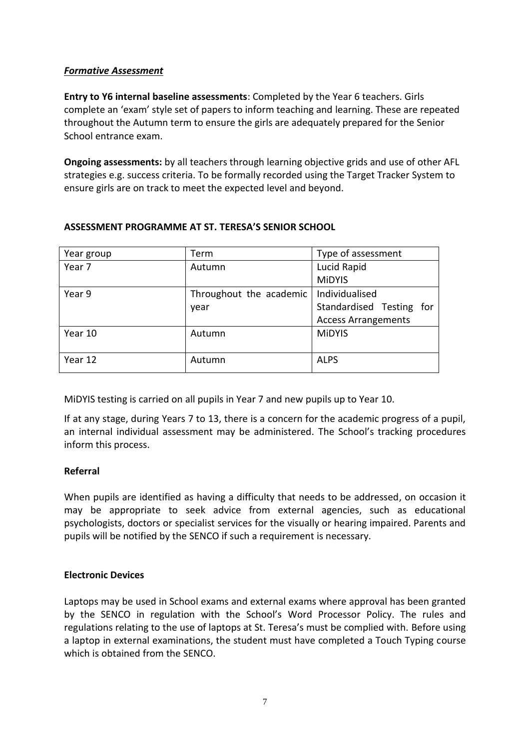# *Formative Assessment*

**Entry to Y6 internal baseline assessments**: Completed by the Year 6 teachers. Girls complete an 'exam' style set of papers to inform teaching and learning. These are repeated throughout the Autumn term to ensure the girls are adequately prepared for the Senior School entrance exam.

**Ongoing assessments:** by all teachers through learning objective grids and use of other AFL strategies e.g. success criteria. To be formally recorded using the Target Tracker System to ensure girls are on track to meet the expected level and beyond.

| Year group        | Term                    | Type of assessment          |  |
|-------------------|-------------------------|-----------------------------|--|
| Year <sub>7</sub> | Autumn                  | Lucid Rapid                 |  |
|                   |                         | <b>MiDYIS</b>               |  |
| Year 9            | Throughout the academic | Individualised              |  |
|                   | year                    | Standardised Testing<br>for |  |
|                   |                         | <b>Access Arrangements</b>  |  |
| Year 10           | Autumn                  | <b>MiDYIS</b>               |  |
|                   |                         |                             |  |
| Year 12           | Autumn                  | <b>ALPS</b>                 |  |
|                   |                         |                             |  |

## **ASSESSMENT PROGRAMME AT ST. TERESA'S SENIOR SCHOOL**

MiDYIS testing is carried on all pupils in Year 7 and new pupils up to Year 10.

If at any stage, during Years 7 to 13, there is a concern for the academic progress of a pupil, an internal individual assessment may be administered. The School's tracking procedures inform this process.

# **Referral**

When pupils are identified as having a difficulty that needs to be addressed, on occasion it may be appropriate to seek advice from external agencies, such as educational psychologists, doctors or specialist services for the visually or hearing impaired. Parents and pupils will be notified by the SENCO if such a requirement is necessary.

# **Electronic Devices**

Laptops may be used in School exams and external exams where approval has been granted by the SENCO in regulation with the School's Word Processor Policy. The rules and regulations relating to the use of laptops at St. Teresa's must be complied with. Before using a laptop in external examinations, the student must have completed a Touch Typing course which is obtained from the SENCO.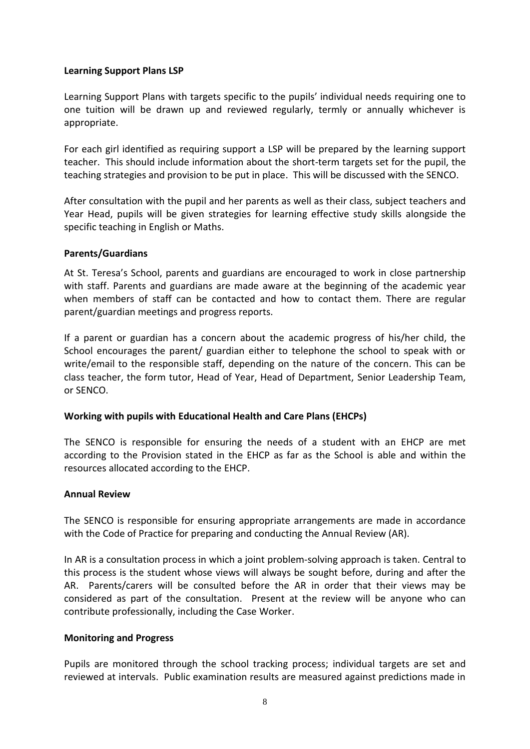## **Learning Support Plans LSP**

Learning Support Plans with targets specific to the pupils' individual needs requiring one to one tuition will be drawn up and reviewed regularly, termly or annually whichever is appropriate.

For each girl identified as requiring support a LSP will be prepared by the learning support teacher. This should include information about the short-term targets set for the pupil, the teaching strategies and provision to be put in place. This will be discussed with the SENCO.

After consultation with the pupil and her parents as well as their class, subject teachers and Year Head, pupils will be given strategies for learning effective study skills alongside the specific teaching in English or Maths.

## **Parents/Guardians**

At St. Teresa's School, parents and guardians are encouraged to work in close partnership with staff. Parents and guardians are made aware at the beginning of the academic year when members of staff can be contacted and how to contact them. There are regular parent/guardian meetings and progress reports.

If a parent or guardian has a concern about the academic progress of his/her child, the School encourages the parent/ guardian either to telephone the school to speak with or write/email to the responsible staff, depending on the nature of the concern. This can be class teacher, the form tutor, Head of Year, Head of Department, Senior Leadership Team, or SENCO.

# **Working with pupils with Educational Health and Care Plans (EHCPs)**

The SENCO is responsible for ensuring the needs of a student with an EHCP are met according to the Provision stated in the EHCP as far as the School is able and within the resources allocated according to the EHCP.

## **Annual Review**

The SENCO is responsible for ensuring appropriate arrangements are made in accordance with the Code of Practice for preparing and conducting the Annual Review (AR).

In AR is a consultation process in which a joint problem-solving approach is taken. Central to this process is the student whose views will always be sought before, during and after the AR. Parents/carers will be consulted before the AR in order that their views may be considered as part of the consultation. Present at the review will be anyone who can contribute professionally, including the Case Worker.

# **Monitoring and Progress**

Pupils are monitored through the school tracking process; individual targets are set and reviewed at intervals. Public examination results are measured against predictions made in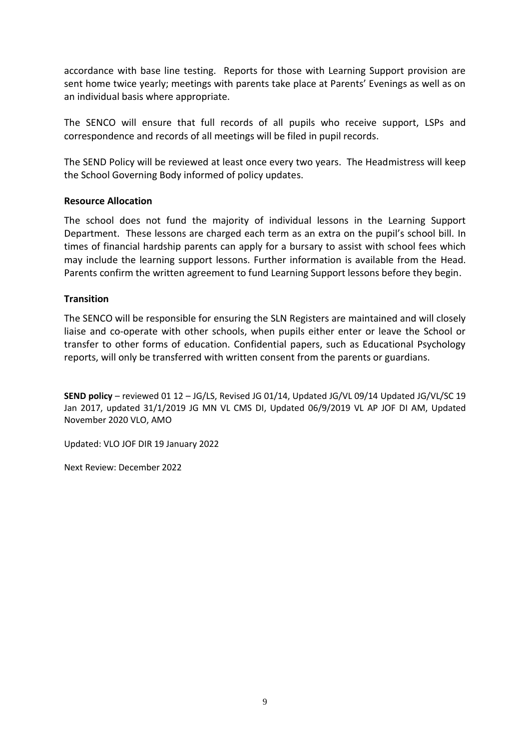accordance with base line testing. Reports for those with Learning Support provision are sent home twice yearly; meetings with parents take place at Parents' Evenings as well as on an individual basis where appropriate.

The SENCO will ensure that full records of all pupils who receive support, LSPs and correspondence and records of all meetings will be filed in pupil records.

The SEND Policy will be reviewed at least once every two years. The Headmistress will keep the School Governing Body informed of policy updates.

## **Resource Allocation**

The school does not fund the majority of individual lessons in the Learning Support Department. These lessons are charged each term as an extra on the pupil's school bill. In times of financial hardship parents can apply for a bursary to assist with school fees which may include the learning support lessons. Further information is available from the Head. Parents confirm the written agreement to fund Learning Support lessons before they begin.

## **Transition**

The SENCO will be responsible for ensuring the SLN Registers are maintained and will closely liaise and co-operate with other schools, when pupils either enter or leave the School or transfer to other forms of education. Confidential papers, such as Educational Psychology reports, will only be transferred with written consent from the parents or guardians.

**SEND policy** – reviewed 01 12 – JG/LS, Revised JG 01/14, Updated JG/VL 09/14 Updated JG/VL/SC 19 Jan 2017, updated 31/1/2019 JG MN VL CMS DI, Updated 06/9/2019 VL AP JOF DI AM, Updated November 2020 VLO, AMO

Updated: VLO JOF DIR 19 January 2022

Next Review: December 2022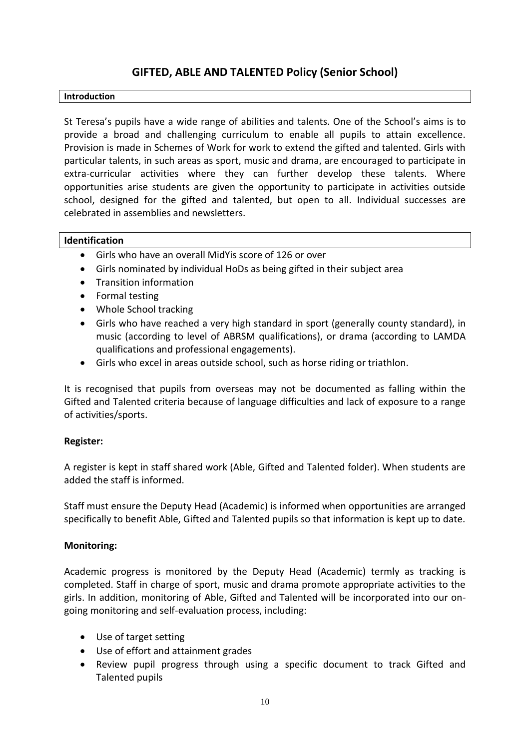# **GIFTED, ABLE AND TALENTED Policy (Senior School)**

## **Introduction**

St Teresa's pupils have a wide range of abilities and talents. One of the School's aims is to provide a broad and challenging curriculum to enable all pupils to attain excellence. Provision is made in Schemes of Work for work to extend the gifted and talented. Girls with particular talents, in such areas as sport, music and drama, are encouraged to participate in extra-curricular activities where they can further develop these talents. Where opportunities arise students are given the opportunity to participate in activities outside school, designed for the gifted and talented, but open to all. Individual successes are celebrated in assemblies and newsletters.

## **Identification**

- Girls who have an overall MidYis score of 126 or over
- Girls nominated by individual HoDs as being gifted in their subject area
- Transition information
- Formal testing
- Whole School tracking
- Girls who have reached a very high standard in sport (generally county standard), in music (according to level of ABRSM qualifications), or drama (according to LAMDA qualifications and professional engagements).
- Girls who excel in areas outside school, such as horse riding or triathlon.

It is recognised that pupils from overseas may not be documented as falling within the Gifted and Talented criteria because of language difficulties and lack of exposure to a range of activities/sports.

## **Register:**

A register is kept in staff shared work (Able, Gifted and Talented folder). When students are added the staff is informed.

Staff must ensure the Deputy Head (Academic) is informed when opportunities are arranged specifically to benefit Able, Gifted and Talented pupils so that information is kept up to date.

## **Monitoring:**

Academic progress is monitored by the Deputy Head (Academic) termly as tracking is completed. Staff in charge of sport, music and drama promote appropriate activities to the girls. In addition, monitoring of Able, Gifted and Talented will be incorporated into our ongoing monitoring and self-evaluation process, including:

- Use of target setting
- Use of effort and attainment grades
- Review pupil progress through using a specific document to track Gifted and Talented pupils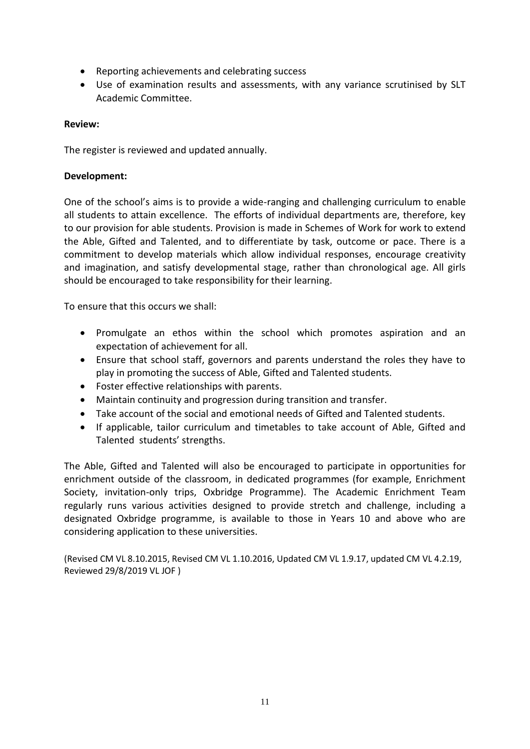- Reporting achievements and celebrating success
- Use of examination results and assessments, with any variance scrutinised by SLT Academic Committee.

## **Review:**

The register is reviewed and updated annually.

## **Development:**

One of the school's aims is to provide a wide-ranging and challenging curriculum to enable all students to attain excellence. The efforts of individual departments are, therefore, key to our provision for able students. Provision is made in Schemes of Work for work to extend the Able, Gifted and Talented, and to differentiate by task, outcome or pace. There is a commitment to develop materials which allow individual responses, encourage creativity and imagination, and satisfy developmental stage, rather than chronological age. All girls should be encouraged to take responsibility for their learning.

To ensure that this occurs we shall:

- Promulgate an ethos within the school which promotes aspiration and an expectation of achievement for all.
- Ensure that school staff, governors and parents understand the roles they have to play in promoting the success of Able, Gifted and Talented students.
- Foster effective relationships with parents.
- Maintain continuity and progression during transition and transfer.
- Take account of the social and emotional needs of Gifted and Talented students.
- If applicable, tailor curriculum and timetables to take account of Able, Gifted and Talented students' strengths.

The Able, Gifted and Talented will also be encouraged to participate in opportunities for enrichment outside of the classroom, in dedicated programmes (for example, Enrichment Society, invitation-only trips, Oxbridge Programme). The Academic Enrichment Team regularly runs various activities designed to provide stretch and challenge, including a designated Oxbridge programme, is available to those in Years 10 and above who are considering application to these universities.

(Revised CM VL 8.10.2015, Revised CM VL 1.10.2016, Updated CM VL 1.9.17, updated CM VL 4.2.19, Reviewed 29/8/2019 VL JOF )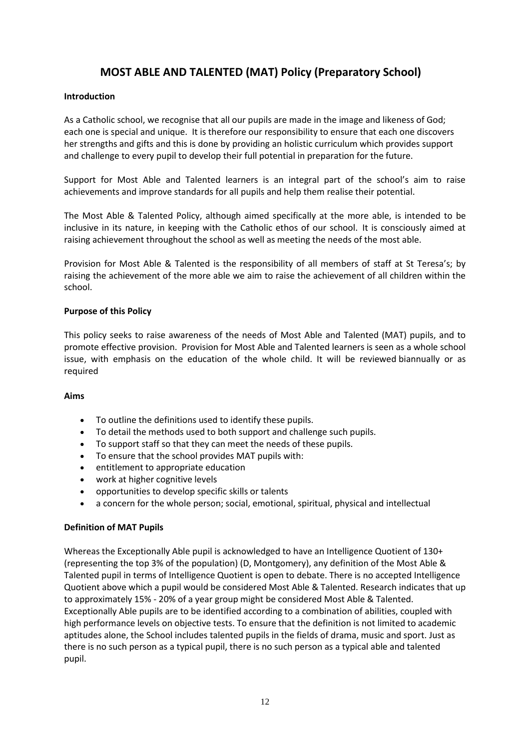# **MOST ABLE AND TALENTED (MAT) Policy (Preparatory School)**

## **Introduction**

As a Catholic school, we recognise that all our pupils are made in the image and likeness of God; each one is special and unique.  It is therefore our responsibility to ensure that each one discovers her strengths and gifts and this is done by providing an holistic curriculum which provides support and challenge to every pupil to develop their full potential in preparation for the future.

Support for Most Able and Talented learners is an integral part of the school's aim to raise achievements and improve standards for all pupils and help them realise their potential.

The Most Able & Talented Policy, although aimed specifically at the more able, is intended to be inclusive in its nature, in keeping with the Catholic ethos of our school.  It is consciously aimed at raising achievement throughout the school as well as meeting the needs of the most able.

Provision for Most Able & Talented is the responsibility of all members of staff at St Teresa's; by raising the achievement of the more able we aim to raise the achievement of all children within the school.

## **Purpose of this Policy**

This policy seeks to raise awareness of the needs of Most Able and Talented (MAT) pupils, and to promote effective provision.  Provision for Most Able and Talented learners is seen as a whole school issue, with emphasis on the education of the whole child.  It will be reviewed biannually or as required

## **Aims**

- To outline the definitions used to identify these pupils.
- To detail the methods used to both support and challenge such pupils.
- To support staff so that they can meet the needs of these pupils.
- To ensure that the school provides MAT pupils with:
- entitlement to appropriate education
- work at higher cognitive levels
- opportunities to develop specific skills or talents
- a concern for the whole person; social, emotional, spiritual, physical and intellectual

## **Definition of MAT Pupils**

Whereas the Exceptionally Able pupil is acknowledged to have an Intelligence Quotient of 130+ (representing the top 3% of the population) (D, Montgomery), any definition of the Most Able & Talented pupil in terms of Intelligence Quotient is open to debate. There is no accepted Intelligence Quotient above which a pupil would be considered Most Able & Talented. Research indicates that up to approximately 15% - 20% of a year group might be considered Most Able & Talented. Exceptionally Able pupils are to be identified according to a combination of abilities, coupled with high performance levels on objective tests. To ensure that the definition is not limited to academic aptitudes alone, the School includes talented pupils in the fields of drama, music and sport. Just as there is no such person as a typical pupil, there is no such person as a typical able and talented pupil.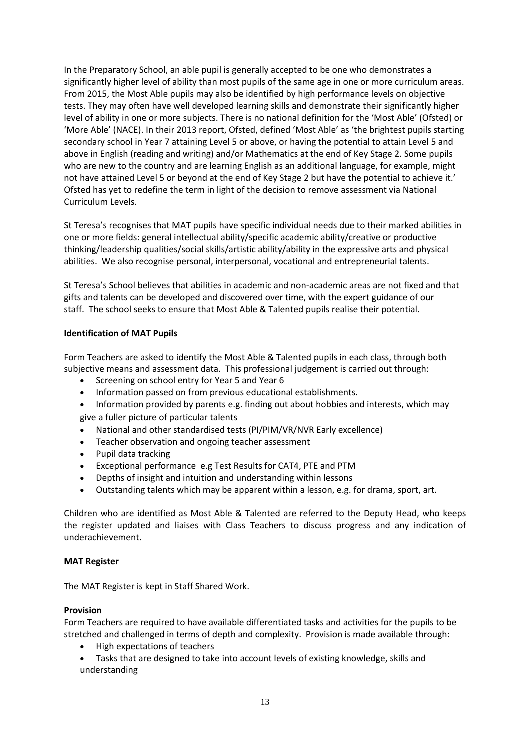In the Preparatory School, an able pupil is generally accepted to be one who demonstrates a significantly higher level of ability than most pupils of the same age in one or more curriculum areas. From 2015, the Most Able pupils may also be identified by high performance levels on objective tests. They may often have well developed learning skills and demonstrate their significantly higher level of ability in one or more subjects. There is no national definition for the 'Most Able' (Ofsted) or 'More Able' (NACE). In their 2013 report, Ofsted, defined 'Most Able' as 'the brightest pupils starting secondary school in Year 7 attaining Level 5 or above, or having the potential to attain Level 5 and above in English (reading and writing) and/or Mathematics at the end of Key Stage 2. Some pupils who are new to the country and are learning English as an additional language, for example, might not have attained Level 5 or beyond at the end of Key Stage 2 but have the potential to achieve it.' Ofsted has yet to redefine the term in light of the decision to remove assessment via National Curriculum Levels.

St Teresa's recognises that MAT pupils have specific individual needs due to their marked abilities in one or more fields: general intellectual ability/specific academic ability/creative or productive thinking/leadership qualities/social skills/artistic ability/ability in the expressive arts and physical abilities. We also recognise personal, interpersonal, vocational and entrepreneurial talents.

St Teresa's School believes that abilities in academic and non-academic areas are not fixed and that gifts and talents can be developed and discovered over time, with the expert guidance of our staff.  The school seeks to ensure that Most Able & Talented pupils realise their potential.

## **Identification of MAT Pupils**

Form Teachers are asked to identify the Most Able & Talented pupils in each class, through both subjective means and assessment data.  This professional judgement is carried out through:

- Screening on school entry for Year 5 and Year 6
- Information passed on from previous educational establishments.
- Information provided by parents e.g. finding out about hobbies and interests, which may give a fuller picture of particular talents
- National and other standardised tests (PI/PIM/VR/NVR Early excellence)
- Teacher observation and ongoing teacher assessment
- Pupil data tracking
- Exceptional performance e.g Test Results for CAT4, PTE and PTM
- Depths of insight and intuition and understanding within lessons
- Outstanding talents which may be apparent within a lesson, e.g. for drama, sport, art.

Children who are identified as Most Able & Talented are referred to the Deputy Head, who keeps the register updated and liaises with Class Teachers to discuss progress and any indication of underachievement.

## **MAT Register**

The MAT Register is kept in Staff Shared Work.

## **Provision**

Form Teachers are required to have available differentiated tasks and activities for the pupils to be stretched and challenged in terms of depth and complexity.  Provision is made available through:

- High expectations of teachers
- Tasks that are designed to take into account levels of existing knowledge, skills and understanding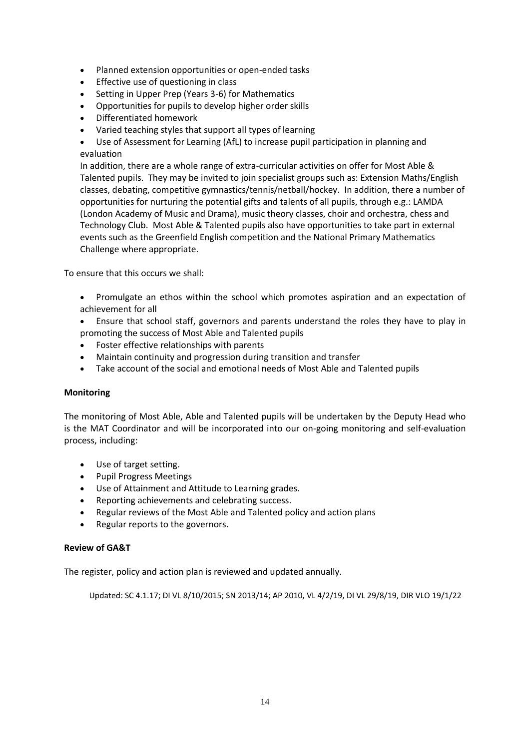- Planned extension opportunities or open-ended tasks
- Effective use of questioning in class
- Setting in Upper Prep (Years 3-6) for Mathematics
- Opportunities for pupils to develop higher order skills
- Differentiated homework
- Varied teaching styles that support all types of learning
- Use of Assessment for Learning (AfL) to increase pupil participation in planning and evaluation

In addition, there are a whole range of extra-curricular activities on offer for Most Able & Talented pupils.  They may be invited to join specialist groups such as: Extension Maths/English classes, debating, competitive gymnastics/tennis/netball/hockey.  In addition, there a number of opportunities for nurturing the potential gifts and talents of all pupils, through e.g.: LAMDA (London Academy of Music and Drama), music theory classes, choir and orchestra, chess and Technology Club.  Most Able & Talented pupils also have opportunities to take part in external events such as the Greenfield English competition and the National Primary Mathematics Challenge where appropriate.

To ensure that this occurs we shall:

- Promulgate an ethos within the school which promotes aspiration and an expectation of achievement for all
- Ensure that school staff, governors and parents understand the roles they have to play in promoting the success of Most Able and Talented pupils
- Foster effective relationships with parents
- Maintain continuity and progression during transition and transfer
- Take account of the social and emotional needs of Most Able and Talented pupils

## **Monitoring**

The monitoring of Most Able, Able and Talented pupils will be undertaken by the Deputy Head who is the MAT Coordinator and will be incorporated into our on-going monitoring and self-evaluation process, including:

- Use of target setting.
- Pupil Progress Meetings
- Use of Attainment and Attitude to Learning grades.
- Reporting achievements and celebrating success.
- Regular reviews of the Most Able and Talented policy and action plans
- Regular reports to the governors.

## **Review of GA&T**

The register, policy and action plan is reviewed and updated annually.

Updated: SC 4.1.17; DI VL 8/10/2015; SN 2013/14; AP 2010, VL 4/2/19, DI VL 29/8/19, DIR VLO 19/1/22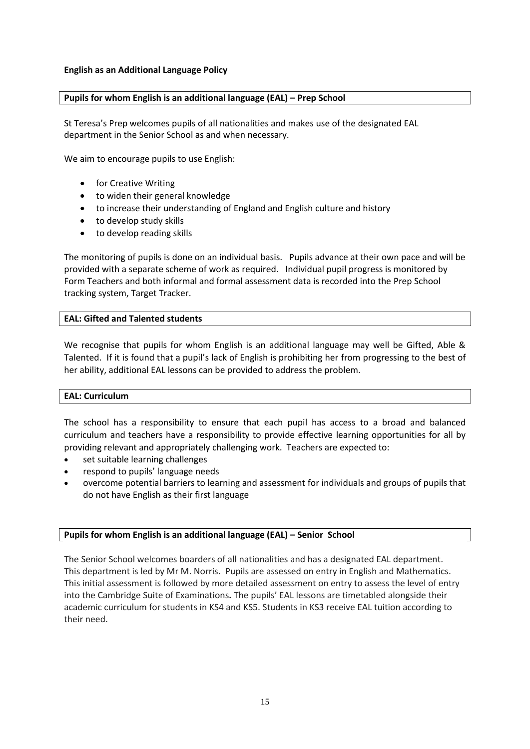## **English as an Additional Language Policy**

## **Pupils for whom English is an additional language (EAL) – Prep School**

St Teresa's Prep welcomes pupils of all nationalities and makes use of the designated EAL department in the Senior School as and when necessary.

We aim to encourage pupils to use English:

- for Creative Writing
- to widen their general knowledge
- to increase their understanding of England and English culture and history
- to develop study skills
- to develop reading skills

The monitoring of pupils is done on an individual basis. Pupils advance at their own pace and will be provided with a separate scheme of work as required. Individual pupil progress is monitored by Form Teachers and both informal and formal assessment data is recorded into the Prep School tracking system, Target Tracker.

## **EAL: Gifted and Talented students**

We recognise that pupils for whom English is an additional language may well be Gifted, Able & Talented. If it is found that a pupil's lack of English is prohibiting her from progressing to the best of her ability, additional EAL lessons can be provided to address the problem.

## **EAL: Curriculum**

The school has a responsibility to ensure that each pupil has access to a broad and balanced curriculum and teachers have a responsibility to provide effective learning opportunities for all by providing relevant and appropriately challenging work. Teachers are expected to:

- set suitable learning challenges
- respond to pupils' language needs
- overcome potential barriers to learning and assessment for individuals and groups of pupils that do not have English as their first language

## **Pupils for whom English is an additional language (EAL) – Senior School**

The Senior School welcomes boarders of all nationalities and has a designated EAL department. This department is led by Mr M. Norris. Pupils are assessed on entry in English and Mathematics. This initial assessment is followed by more detailed assessment on entry to assess the level of entry into the Cambridge Suite of Examinations**.** The pupils' EAL lessons are timetabled alongside their academic curriculum for students in KS4 and KS5. Students in KS3 receive EAL tuition according to their need.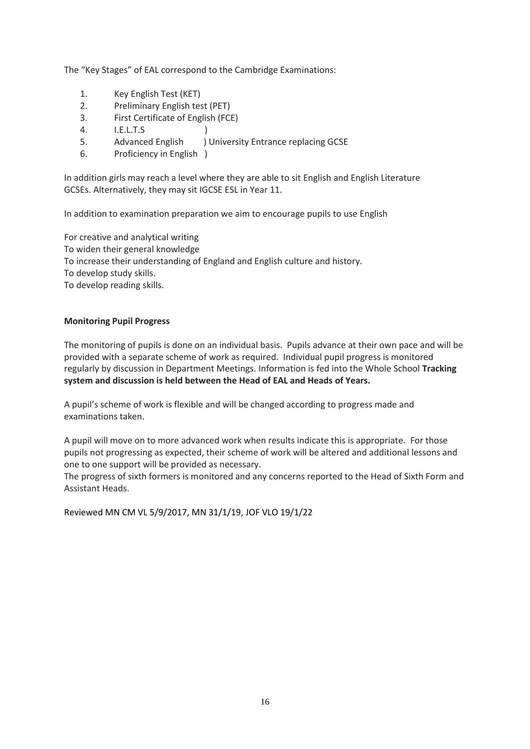The "Key Stages" of EAL correspond to the Cambridge Examinations:

- 1. Key English Test (KET)
- 2. Preliminary English test (PET)
- 3. First Certificate of English (FCE)
- 4. I.E.L.T.S )
- 5. Advanced English ) University Entrance replacing GCSE
- 6. Proficiency in English )

In addition girls may reach a level where they are able to sit English and English Literature GCSEs. Alternatively, they may sit IGCSE ESL in Year 11.

In addition to examination preparation we aim to encourage pupils to use English

For creative and analytical writing To widen their general knowledge To increase their understanding of England and English culture and history. To develop study skills. To develop reading skills.

## **Monitoring Pupil Progress**

The monitoring of pupils is done on an individual basis. Pupils advance at their own pace and will be provided with a separate scheme of work as required. Individual pupil progress is monitored regularly by discussion in Department Meetings. Information is fed into the Whole School **Tracking system and discussion is held between the Head of EAL and Heads of Years.**

A pupil's scheme of work is flexible and will be changed according to progress made and examinations taken.

A pupil will move on to more advanced work when results indicate this is appropriate. For those pupils not progressing as expected, their scheme of work will be altered and additional lessons and one to one support will be provided as necessary.

The progress of sixth formers is monitored and any concerns reported to the Head of Sixth Form and Assistant Heads.

Reviewed MN CM VL 5/9/2017, MN 31/1/19, JOF VLO 19/1/22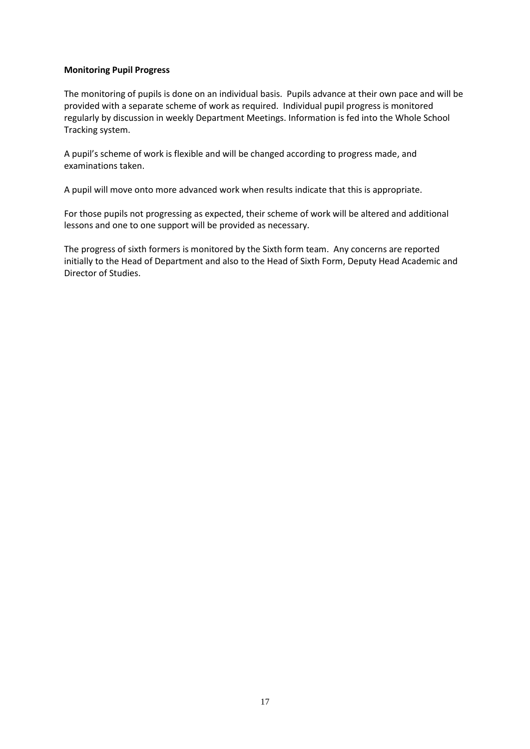## **Monitoring Pupil Progress**

The monitoring of pupils is done on an individual basis. Pupils advance at their own pace and will be provided with a separate scheme of work as required. Individual pupil progress is monitored regularly by discussion in weekly Department Meetings. Information is fed into the Whole School Tracking system.

A pupil's scheme of work is flexible and will be changed according to progress made, and examinations taken.

A pupil will move onto more advanced work when results indicate that this is appropriate.

For those pupils not progressing as expected, their scheme of work will be altered and additional lessons and one to one support will be provided as necessary.

The progress of sixth formers is monitored by the Sixth form team. Any concerns are reported initially to the Head of Department and also to the Head of Sixth Form, Deputy Head Academic and Director of Studies.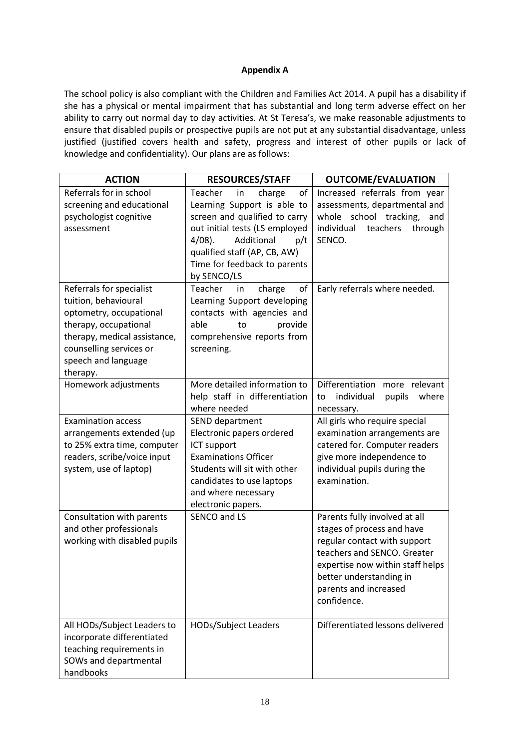## **Appendix A**

The school policy is also compliant with the Children and Families Act 2014. A pupil has a disability if she has a physical or mental impairment that has substantial and long term adverse effect on her ability to carry out normal day to day activities. At St Teresa's, we make reasonable adjustments to ensure that disabled pupils or prospective pupils are not put at any substantial disadvantage, unless justified (justified covers health and safety, progress and interest of other pupils or lack of knowledge and confidentiality). Our plans are as follows:

| <b>ACTION</b>                                                                                                                                                          | <b>RESOURCES/STAFF</b>                                                                                                                                                                                                                                                            | <b>OUTCOME/EVALUATION</b>                                                                                                                                                                                                         |
|------------------------------------------------------------------------------------------------------------------------------------------------------------------------|-----------------------------------------------------------------------------------------------------------------------------------------------------------------------------------------------------------------------------------------------------------------------------------|-----------------------------------------------------------------------------------------------------------------------------------------------------------------------------------------------------------------------------------|
| Referrals for in school<br>screening and educational<br>psychologist cognitive<br>assessment<br>Referrals for specialist                                               | of<br>Teacher<br>in<br>charge<br>Learning Support is able to<br>screen and qualified to carry<br>out initial tests (LS employed<br>Additional<br>$4/08$ ).<br>p/t<br>qualified staff (AP, CB, AW)<br>Time for feedback to parents<br>by SENCO/LS<br>of<br>Teacher<br>in<br>charge | Increased referrals from year<br>assessments, departmental and<br>whole<br>school tracking,<br>and<br>individual<br>teachers<br>through<br>SENCO.<br>Early referrals where needed.                                                |
| tuition, behavioural<br>optometry, occupational<br>therapy, occupational<br>therapy, medical assistance,<br>counselling services or<br>speech and language<br>therapy. | Learning Support developing<br>contacts with agencies and<br>able<br>provide<br>to<br>comprehensive reports from<br>screening.                                                                                                                                                    |                                                                                                                                                                                                                                   |
| Homework adjustments                                                                                                                                                   | More detailed information to<br>help staff in differentiation<br>where needed                                                                                                                                                                                                     | Differentiation<br>more relevant<br>where<br>individual<br>pupils<br>to<br>necessary.                                                                                                                                             |
| <b>Examination access</b><br>arrangements extended (up<br>to 25% extra time, computer<br>readers, scribe/voice input<br>system, use of laptop)                         | SEND department<br>Electronic papers ordered<br>ICT support<br><b>Examinations Officer</b><br>Students will sit with other<br>candidates to use laptops<br>and where necessary<br>electronic papers.                                                                              | All girls who require special<br>examination arrangements are<br>catered for. Computer readers<br>give more independence to<br>individual pupils during the<br>examination.                                                       |
| Consultation with parents<br>and other professionals<br>working with disabled pupils                                                                                   | SENCO and LS                                                                                                                                                                                                                                                                      | Parents fully involved at all<br>stages of process and have<br>regular contact with support<br>teachers and SENCO. Greater<br>expertise now within staff helps<br>better understanding in<br>parents and increased<br>confidence. |
| All HODs/Subject Leaders to<br>incorporate differentiated<br>teaching requirements in<br>SOWs and departmental<br>handbooks                                            | HODs/Subject Leaders                                                                                                                                                                                                                                                              | Differentiated lessons delivered                                                                                                                                                                                                  |